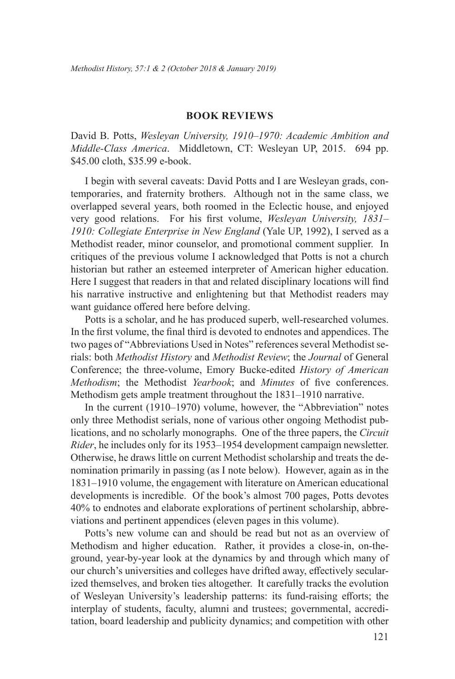## **Book Reviews**

David B. Potts, *Wesleyan University, 1910–1970: Academic Ambition and Middle-Class America*. Middletown, CT: Wesleyan UP, 2015. 694 pp. \$45.00 cloth, \$35.99 e-book.

I begin with several caveats: David Potts and I are Wesleyan grads, contemporaries, and fraternity brothers. Although not in the same class, we overlapped several years, both roomed in the Eclectic house, and enjoyed very good relations. For his first volume, *Wesleyan University, 1831– 1910: Collegiate Enterprise in New England* (Yale UP, 1992), I served as a Methodist reader, minor counselor, and promotional comment supplier. In critiques of the previous volume I acknowledged that Potts is not a church historian but rather an esteemed interpreter of American higher education. Here I suggest that readers in that and related disciplinary locations will find his narrative instructive and enlightening but that Methodist readers may want guidance offered here before delving.

Potts is a scholar, and he has produced superb, well-researched volumes. In the first volume, the final third is devoted to endnotes and appendices. The two pages of "Abbreviations Used in Notes" references several Methodist serials: both *Methodist History* and *Methodist Review*; the *Journal* of General Conference; the three-volume, Emory Bucke-edited *History of American Methodism*; the Methodist *Yearbook*; and *Minutes* of five conferences. Methodism gets ample treatment throughout the 1831–1910 narrative.

In the current (1910–1970) volume, however, the "Abbreviation" notes only three Methodist serials, none of various other ongoing Methodist publications, and no scholarly monographs. One of the three papers, the *Circuit Rider*, he includes only for its 1953–1954 development campaign newsletter. Otherwise, he draws little on current Methodist scholarship and treats the denomination primarily in passing (as I note below). However, again as in the 1831–1910 volume, the engagement with literature on American educational developments is incredible. Of the book's almost 700 pages, Potts devotes 40% to endnotes and elaborate explorations of pertinent scholarship, abbreviations and pertinent appendices (eleven pages in this volume).

Potts's new volume can and should be read but not as an overview of Methodism and higher education. Rather, it provides a close-in, on-theground, year-by-year look at the dynamics by and through which many of our church's universities and colleges have drifted away, effectively secularized themselves, and broken ties altogether. It carefully tracks the evolution of Wesleyan University's leadership patterns: its fund-raising efforts; the interplay of students, faculty, alumni and trustees; governmental, accreditation, board leadership and publicity dynamics; and competition with other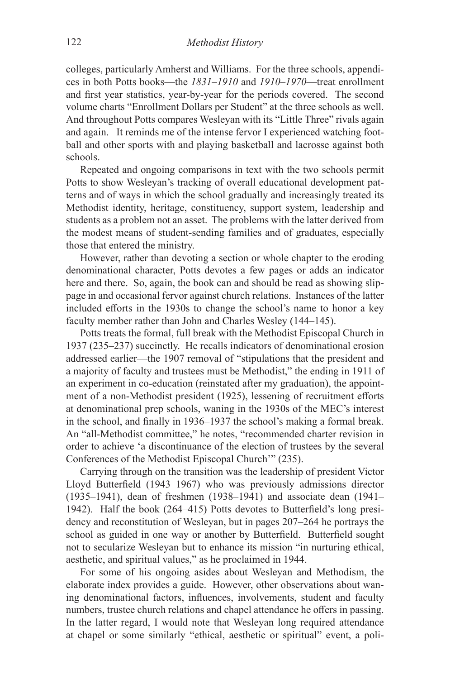colleges, particularly Amherst and Williams. For the three schools, appendices in both Potts books—the *1831–1910* and *1910–1970*—treat enrollment and first year statistics, year-by-year for the periods covered. The second volume charts "Enrollment Dollars per Student" at the three schools as well. And throughout Potts compares Wesleyan with its "Little Three" rivals again and again. It reminds me of the intense fervor I experienced watching football and other sports with and playing basketball and lacrosse against both schools.

Repeated and ongoing comparisons in text with the two schools permit Potts to show Wesleyan's tracking of overall educational development patterns and of ways in which the school gradually and increasingly treated its Methodist identity, heritage, constituency, support system, leadership and students as a problem not an asset. The problems with the latter derived from the modest means of student-sending families and of graduates, especially those that entered the ministry.

However, rather than devoting a section or whole chapter to the eroding denominational character, Potts devotes a few pages or adds an indicator here and there. So, again, the book can and should be read as showing slippage in and occasional fervor against church relations. Instances of the latter included efforts in the 1930s to change the school's name to honor a key faculty member rather than John and Charles Wesley (144–145).

Potts treats the formal, full break with the Methodist Episcopal Church in 1937 (235–237) succinctly. He recalls indicators of denominational erosion addressed earlier—the 1907 removal of "stipulations that the president and a majority of faculty and trustees must be Methodist," the ending in 1911 of an experiment in co-education (reinstated after my graduation), the appointment of a non-Methodist president (1925), lessening of recruitment efforts at denominational prep schools, waning in the 1930s of the MEC's interest in the school, and finally in 1936–1937 the school's making a formal break. An "all-Methodist committee," he notes, "recommended charter revision in order to achieve 'a discontinuance of the election of trustees by the several Conferences of the Methodist Episcopal Church'" (235).

Carrying through on the transition was the leadership of president Victor Lloyd Butterfield (1943–1967) who was previously admissions director (1935–1941), dean of freshmen (1938–1941) and associate dean (1941– 1942). Half the book (264–415) Potts devotes to Butterfield's long presidency and reconstitution of Wesleyan, but in pages 207–264 he portrays the school as guided in one way or another by Butterfield. Butterfield sought not to secularize Wesleyan but to enhance its mission "in nurturing ethical, aesthetic, and spiritual values," as he proclaimed in 1944.

For some of his ongoing asides about Wesleyan and Methodism, the elaborate index provides a guide. However, other observations about waning denominational factors, influences, involvements, student and faculty numbers, trustee church relations and chapel attendance he offers in passing. In the latter regard, I would note that Wesleyan long required attendance at chapel or some similarly "ethical, aesthetic or spiritual" event, a poli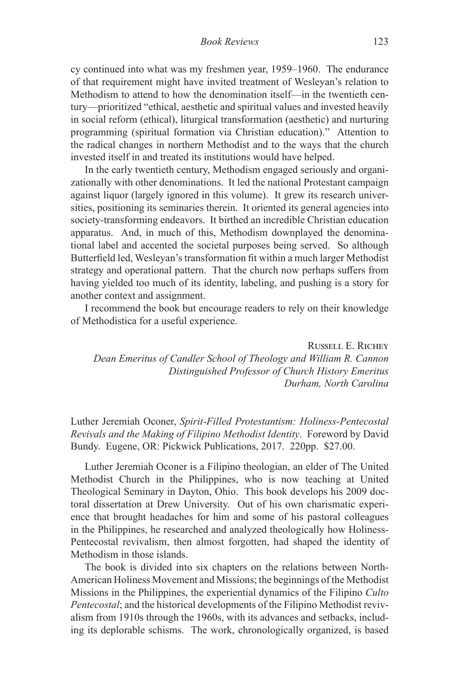*Book Reviews* 123

cy continued into what was my freshmen year, 1959–1960. The endurance of that requirement might have invited treatment of Wesleyan's relation to Methodism to attend to how the denomination itself—in the twentieth century—prioritized "ethical, aesthetic and spiritual values and invested heavily in social reform (ethical), liturgical transformation (aesthetic) and nurturing programming (spiritual formation via Christian education)." Attention to the radical changes in northern Methodist and to the ways that the church invested itself in and treated its institutions would have helped.

In the early twentieth century, Methodism engaged seriously and organizationally with other denominations. It led the national Protestant campaign against liquor (largely ignored in this volume). It grew its research universities, positioning its seminaries therein. It oriented its general agencies into society-transforming endeavors. It birthed an incredible Christian education apparatus. And, in much of this, Methodism downplayed the denominational label and accented the societal purposes being served. So although Butterfield led, Wesleyan's transformation fit within a much larger Methodist strategy and operational pattern. That the church now perhaps suffers from having yielded too much of its identity, labeling, and pushing is a story for another context and assignment.

I recommend the book but encourage readers to rely on their knowledge of Methodistica for a useful experience.

Russell E. Richey *Dean Emeritus of Candler School of Theology and William R. Cannon Distinguished Professor of Church History Emeritus Durham, North Carolina*

Luther Jeremiah Oconer, *Spirit-Filled Protestantism: Holiness-Pentecostal Revivals and the Making of Filipino Methodist Identity*. Foreword by David Bundy. Eugene, OR: Pickwick Publications, 2017. 220pp. \$27.00.

Luther Jeremiah Oconer is a Filipino theologian, an elder of The United Methodist Church in the Philippines, who is now teaching at United Theological Seminary in Dayton, Ohio. This book develops his 2009 doctoral dissertation at Drew University. Out of his own charismatic experience that brought headaches for him and some of his pastoral colleagues in the Philippines, he researched and analyzed theologically how Holiness-Pentecostal revivalism, then almost forgotten, had shaped the identity of Methodism in those islands.

The book is divided into six chapters on the relations between North-American Holiness Movement and Missions; the beginnings of the Methodist Missions in the Philippines, the experiential dynamics of the Filipino *Culto Pentecostal*; and the historical developments of the Filipino Methodist revivalism from 1910s through the 1960s, with its advances and setbacks, including its deplorable schisms. The work, chronologically organized, is based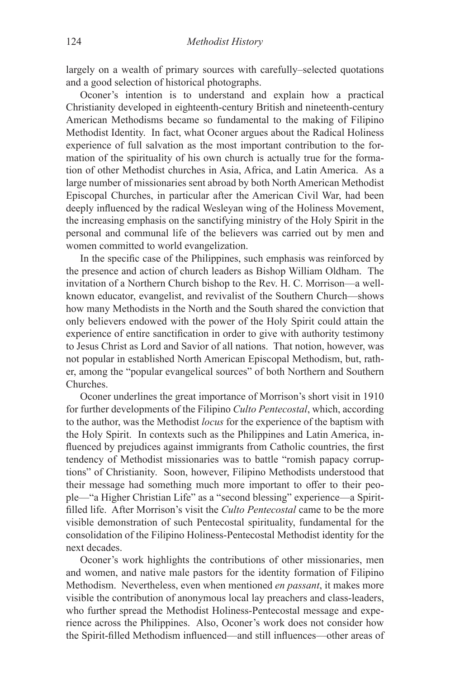largely on a wealth of primary sources with carefully–selected quotations and a good selection of historical photographs.

Oconer's intention is to understand and explain how a practical Christianity developed in eighteenth-century British and nineteenth-century American Methodisms became so fundamental to the making of Filipino Methodist Identity. In fact, what Oconer argues about the Radical Holiness experience of full salvation as the most important contribution to the formation of the spirituality of his own church is actually true for the formation of other Methodist churches in Asia, Africa, and Latin America. As a large number of missionaries sent abroad by both North American Methodist Episcopal Churches, in particular after the American Civil War, had been deeply influenced by the radical Wesleyan wing of the Holiness Movement, the increasing emphasis on the sanctifying ministry of the Holy Spirit in the personal and communal life of the believers was carried out by men and women committed to world evangelization.

In the specific case of the Philippines, such emphasis was reinforced by the presence and action of church leaders as Bishop William Oldham. The invitation of a Northern Church bishop to the Rev. H. C. Morrison—a wellknown educator, evangelist, and revivalist of the Southern Church—shows how many Methodists in the North and the South shared the conviction that only believers endowed with the power of the Holy Spirit could attain the experience of entire sanctification in order to give with authority testimony to Jesus Christ as Lord and Savior of all nations. That notion, however, was not popular in established North American Episcopal Methodism, but, rather, among the "popular evangelical sources" of both Northern and Southern Churches.

Oconer underlines the great importance of Morrison's short visit in 1910 for further developments of the Filipino *Culto Pentecostal*, which, according to the author, was the Methodist *locus* for the experience of the baptism with the Holy Spirit. In contexts such as the Philippines and Latin America, influenced by prejudices against immigrants from Catholic countries, the first tendency of Methodist missionaries was to battle "romish papacy corruptions" of Christianity. Soon, however, Filipino Methodists understood that their message had something much more important to offer to their people—"a Higher Christian Life" as a "second blessing" experience—a Spiritfilled life. After Morrison's visit the *Culto Pentecostal* came to be the more visible demonstration of such Pentecostal spirituality, fundamental for the consolidation of the Filipino Holiness-Pentecostal Methodist identity for the next decades.

Oconer's work highlights the contributions of other missionaries, men and women, and native male pastors for the identity formation of Filipino Methodism. Nevertheless, even when mentioned *en passant*, it makes more visible the contribution of anonymous local lay preachers and class-leaders, who further spread the Methodist Holiness-Pentecostal message and experience across the Philippines. Also, Oconer's work does not consider how the Spirit-filled Methodism influenced—and still influences—other areas of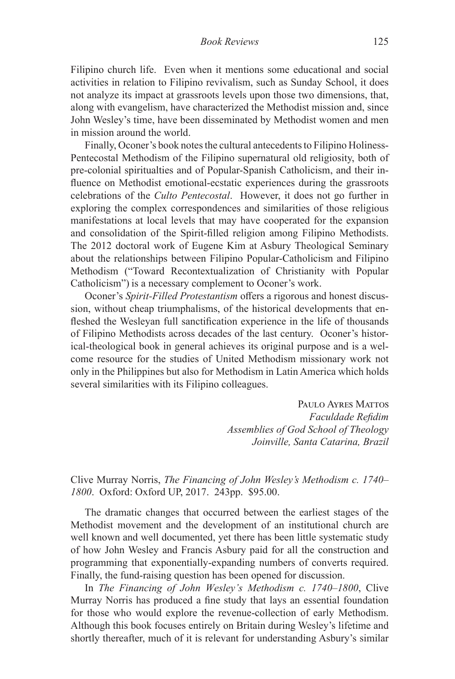Filipino church life. Even when it mentions some educational and social activities in relation to Filipino revivalism, such as Sunday School, it does not analyze its impact at grassroots levels upon those two dimensions, that, along with evangelism, have characterized the Methodist mission and, since John Wesley's time, have been disseminated by Methodist women and men in mission around the world.

Finally, Oconer's book notes the cultural antecedents to Filipino Holiness-Pentecostal Methodism of the Filipino supernatural old religiosity, both of pre-colonial spiritualties and of Popular-Spanish Catholicism, and their influence on Methodist emotional-ecstatic experiences during the grassroots celebrations of the *Culto Pentecostal*. However, it does not go further in exploring the complex correspondences and similarities of those religious manifestations at local levels that may have cooperated for the expansion and consolidation of the Spirit-filled religion among Filipino Methodists. The 2012 doctoral work of Eugene Kim at Asbury Theological Seminary about the relationships between Filipino Popular-Catholicism and Filipino Methodism ("Toward Recontextualization of Christianity with Popular Catholicism") is a necessary complement to Oconer's work.

Oconer's *Spirit-Filled Protestantism* offers a rigorous and honest discussion, without cheap triumphalisms, of the historical developments that enfleshed the Wesleyan full sanctification experience in the life of thousands of Filipino Methodists across decades of the last century. Oconer's historical-theological book in general achieves its original purpose and is a welcome resource for the studies of United Methodism missionary work not only in the Philippines but also for Methodism in Latin America which holds several similarities with its Filipino colleagues.

> PAULO AYRES MATTOS *Faculdade Refidim Assemblies of God School of Theology Joinville, Santa Catarina, Brazil*

## Clive Murray Norris, *The Financing of John Wesley's Methodism c. 1740– 1800*. Oxford: Oxford UP, 2017. 243pp. \$95.00.

The dramatic changes that occurred between the earliest stages of the Methodist movement and the development of an institutional church are well known and well documented, yet there has been little systematic study of how John Wesley and Francis Asbury paid for all the construction and programming that exponentially-expanding numbers of converts required. Finally, the fund-raising question has been opened for discussion.

In *The Financing of John Wesley's Methodism c. 1740–1800*, Clive Murray Norris has produced a fine study that lays an essential foundation for those who would explore the revenue-collection of early Methodism. Although this book focuses entirely on Britain during Wesley's lifetime and shortly thereafter, much of it is relevant for understanding Asbury's similar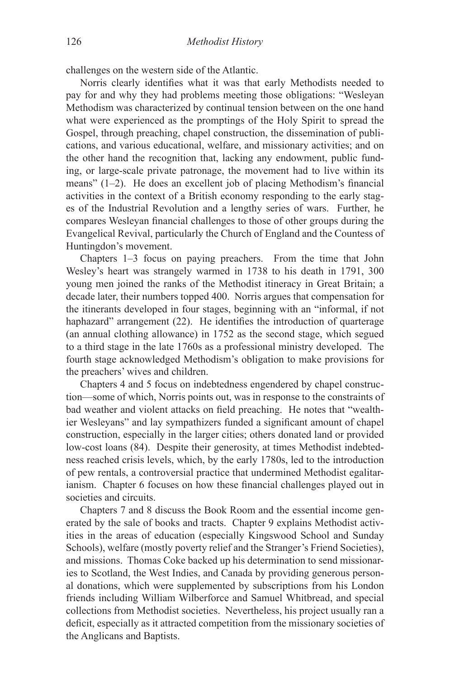challenges on the western side of the Atlantic.

Norris clearly identifies what it was that early Methodists needed to pay for and why they had problems meeting those obligations: "Wesleyan Methodism was characterized by continual tension between on the one hand what were experienced as the promptings of the Holy Spirit to spread the Gospel, through preaching, chapel construction, the dissemination of publications, and various educational, welfare, and missionary activities; and on the other hand the recognition that, lacking any endowment, public funding, or large-scale private patronage, the movement had to live within its means" (1–2). He does an excellent job of placing Methodism's financial activities in the context of a British economy responding to the early stages of the Industrial Revolution and a lengthy series of wars. Further, he compares Wesleyan financial challenges to those of other groups during the Evangelical Revival, particularly the Church of England and the Countess of Huntingdon's movement.

Chapters 1–3 focus on paying preachers. From the time that John Wesley's heart was strangely warmed in 1738 to his death in 1791, 300 young men joined the ranks of the Methodist itineracy in Great Britain; a decade later, their numbers topped 400. Norris argues that compensation for the itinerants developed in four stages, beginning with an "informal, if not haphazard" arrangement (22). He identifies the introduction of quarterage (an annual clothing allowance) in 1752 as the second stage, which segued to a third stage in the late 1760s as a professional ministry developed. The fourth stage acknowledged Methodism's obligation to make provisions for the preachers' wives and children.

Chapters 4 and 5 focus on indebtedness engendered by chapel construction—some of which, Norris points out, was in response to the constraints of bad weather and violent attacks on field preaching. He notes that "wealthier Wesleyans" and lay sympathizers funded a significant amount of chapel construction, especially in the larger cities; others donated land or provided low-cost loans (84). Despite their generosity, at times Methodist indebtedness reached crisis levels, which, by the early 1780s, led to the introduction of pew rentals, a controversial practice that undermined Methodist egalitarianism. Chapter 6 focuses on how these financial challenges played out in societies and circuits.

Chapters 7 and 8 discuss the Book Room and the essential income generated by the sale of books and tracts. Chapter 9 explains Methodist activities in the areas of education (especially Kingswood School and Sunday Schools), welfare (mostly poverty relief and the Stranger's Friend Societies), and missions. Thomas Coke backed up his determination to send missionaries to Scotland, the West Indies, and Canada by providing generous personal donations, which were supplemented by subscriptions from his London friends including William Wilberforce and Samuel Whitbread, and special collections from Methodist societies. Nevertheless, his project usually ran a deficit, especially as it attracted competition from the missionary societies of the Anglicans and Baptists.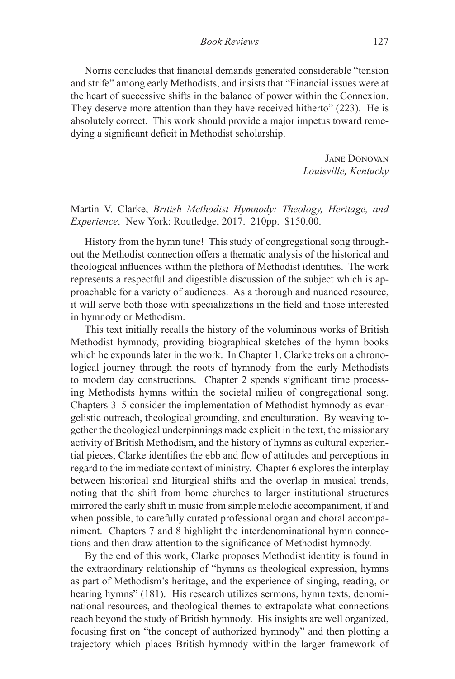Norris concludes that financial demands generated considerable "tension and strife" among early Methodists, and insists that "Financial issues were at the heart of successive shifts in the balance of power within the Connexion. They deserve more attention than they have received hitherto" (223). He is absolutely correct. This work should provide a major impetus toward remedying a significant deficit in Methodist scholarship.

> Jane Donovan *Louisville, Kentucky*

Martin V. Clarke, *British Methodist Hymnody: Theology, Heritage, and Experience*. New York: Routledge, 2017. 210pp. \$150.00.

History from the hymn tune! This study of congregational song throughout the Methodist connection offers a thematic analysis of the historical and theological influences within the plethora of Methodist identities. The work represents a respectful and digestible discussion of the subject which is approachable for a variety of audiences. As a thorough and nuanced resource, it will serve both those with specializations in the field and those interested in hymnody or Methodism.

This text initially recalls the history of the voluminous works of British Methodist hymnody, providing biographical sketches of the hymn books which he expounds later in the work. In Chapter 1, Clarke treks on a chronological journey through the roots of hymnody from the early Methodists to modern day constructions. Chapter 2 spends significant time processing Methodists hymns within the societal milieu of congregational song. Chapters 3–5 consider the implementation of Methodist hymnody as evangelistic outreach, theological grounding, and enculturation. By weaving together the theological underpinnings made explicit in the text, the missionary activity of British Methodism, and the history of hymns as cultural experiential pieces, Clarke identifies the ebb and flow of attitudes and perceptions in regard to the immediate context of ministry. Chapter 6 explores the interplay between historical and liturgical shifts and the overlap in musical trends, noting that the shift from home churches to larger institutional structures mirrored the early shift in music from simple melodic accompaniment, if and when possible, to carefully curated professional organ and choral accompaniment. Chapters 7 and 8 highlight the interdenominational hymn connections and then draw attention to the significance of Methodist hymnody.

By the end of this work, Clarke proposes Methodist identity is found in the extraordinary relationship of "hymns as theological expression, hymns as part of Methodism's heritage, and the experience of singing, reading, or hearing hymns" (181). His research utilizes sermons, hymn texts, denominational resources, and theological themes to extrapolate what connections reach beyond the study of British hymnody. His insights are well organized, focusing first on "the concept of authorized hymnody" and then plotting a trajectory which places British hymnody within the larger framework of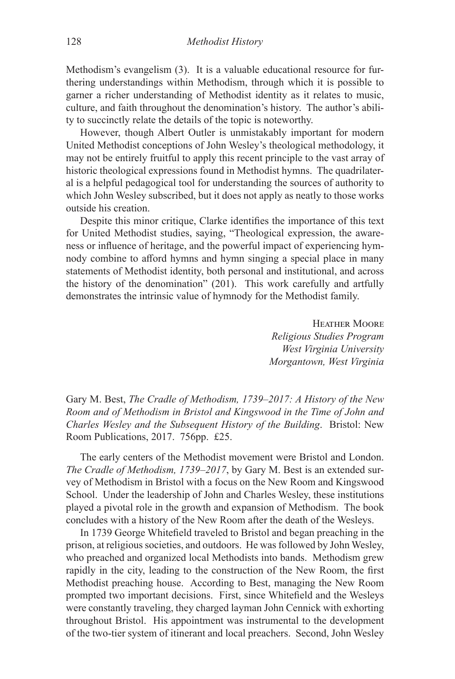Methodism's evangelism (3). It is a valuable educational resource for furthering understandings within Methodism, through which it is possible to garner a richer understanding of Methodist identity as it relates to music, culture, and faith throughout the denomination's history. The author's ability to succinctly relate the details of the topic is noteworthy.

However, though Albert Outler is unmistakably important for modern United Methodist conceptions of John Wesley's theological methodology, it may not be entirely fruitful to apply this recent principle to the vast array of historic theological expressions found in Methodist hymns. The quadrilateral is a helpful pedagogical tool for understanding the sources of authority to which John Wesley subscribed, but it does not apply as neatly to those works outside his creation.

Despite this minor critique, Clarke identifies the importance of this text for United Methodist studies, saying, "Theological expression, the awareness or influence of heritage, and the powerful impact of experiencing hymnody combine to afford hymns and hymn singing a special place in many statements of Methodist identity, both personal and institutional, and across the history of the denomination" (201). This work carefully and artfully demonstrates the intrinsic value of hymnody for the Methodist family.

> Heather Moore *Religious Studies Program West Virginia University Morgantown, West Virginia*

Gary M. Best, *The Cradle of Methodism, 1739–2017: A History of the New Room and of Methodism in Bristol and Kingswood in the Time of John and Charles Wesley and the Subsequent History of the Building*. Bristol: New Room Publications, 2017. 756pp. £25.

The early centers of the Methodist movement were Bristol and London. *The Cradle of Methodism, 1739–2017*, by Gary M. Best is an extended survey of Methodism in Bristol with a focus on the New Room and Kingswood School. Under the leadership of John and Charles Wesley, these institutions played a pivotal role in the growth and expansion of Methodism. The book concludes with a history of the New Room after the death of the Wesleys.

In 1739 George Whitefield traveled to Bristol and began preaching in the prison, at religious societies, and outdoors. He was followed by John Wesley, who preached and organized local Methodists into bands. Methodism grew rapidly in the city, leading to the construction of the New Room, the first Methodist preaching house. According to Best, managing the New Room prompted two important decisions. First, since Whitefield and the Wesleys were constantly traveling, they charged layman John Cennick with exhorting throughout Bristol. His appointment was instrumental to the development of the two-tier system of itinerant and local preachers. Second, John Wesley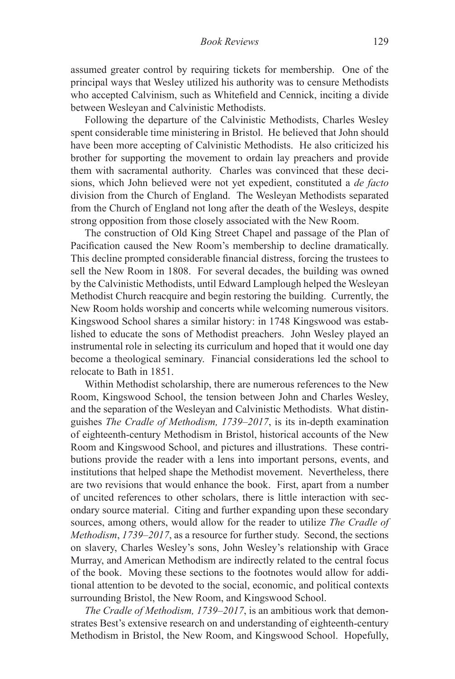assumed greater control by requiring tickets for membership. One of the principal ways that Wesley utilized his authority was to censure Methodists who accepted Calvinism, such as Whitefield and Cennick, inciting a divide between Wesleyan and Calvinistic Methodists.

Following the departure of the Calvinistic Methodists, Charles Wesley spent considerable time ministering in Bristol. He believed that John should have been more accepting of Calvinistic Methodists. He also criticized his brother for supporting the movement to ordain lay preachers and provide them with sacramental authority. Charles was convinced that these decisions, which John believed were not yet expedient, constituted a *de facto*  division from the Church of England. The Wesleyan Methodists separated from the Church of England not long after the death of the Wesleys, despite strong opposition from those closely associated with the New Room.

The construction of Old King Street Chapel and passage of the Plan of Pacification caused the New Room's membership to decline dramatically. This decline prompted considerable financial distress, forcing the trustees to sell the New Room in 1808. For several decades, the building was owned by the Calvinistic Methodists, until Edward Lamplough helped the Wesleyan Methodist Church reacquire and begin restoring the building. Currently, the New Room holds worship and concerts while welcoming numerous visitors. Kingswood School shares a similar history: in 1748 Kingswood was established to educate the sons of Methodist preachers. John Wesley played an instrumental role in selecting its curriculum and hoped that it would one day become a theological seminary. Financial considerations led the school to relocate to Bath in 1851.

Within Methodist scholarship, there are numerous references to the New Room, Kingswood School, the tension between John and Charles Wesley, and the separation of the Wesleyan and Calvinistic Methodists. What distinguishes *The Cradle of Methodism, 1739–2017*, is its in-depth examination of eighteenth-century Methodism in Bristol, historical accounts of the New Room and Kingswood School, and pictures and illustrations. These contributions provide the reader with a lens into important persons, events, and institutions that helped shape the Methodist movement. Nevertheless, there are two revisions that would enhance the book. First, apart from a number of uncited references to other scholars, there is little interaction with secondary source material. Citing and further expanding upon these secondary sources, among others, would allow for the reader to utilize *The Cradle of Methodism*, *1739–2017*, as a resource for further study. Second, the sections on slavery, Charles Wesley's sons, John Wesley's relationship with Grace Murray, and American Methodism are indirectly related to the central focus of the book. Moving these sections to the footnotes would allow for additional attention to be devoted to the social, economic, and political contexts surrounding Bristol, the New Room, and Kingswood School.

*The Cradle of Methodism, 1739–2017*, is an ambitious work that demonstrates Best's extensive research on and understanding of eighteenth-century Methodism in Bristol, the New Room, and Kingswood School. Hopefully,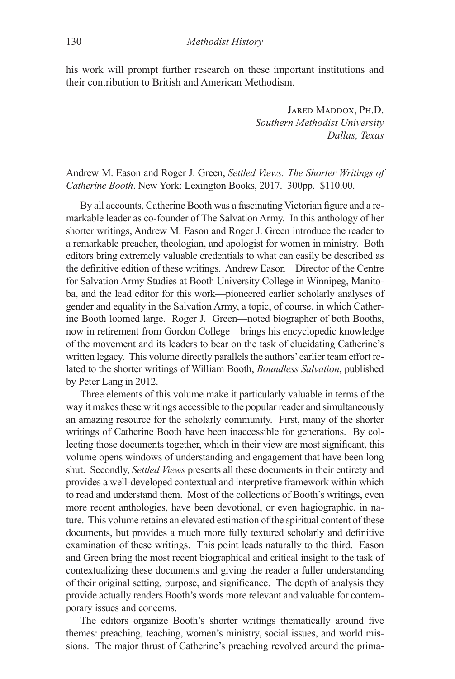his work will prompt further research on these important institutions and their contribution to British and American Methodism.

> Jared Maddox, Ph.D. *Southern Methodist University Dallas, Texas*

Andrew M. Eason and Roger J. Green, *Settled Views: The Shorter Writings of Catherine Booth*. New York: Lexington Books, 2017. 300pp. \$110.00.

By all accounts, Catherine Booth was a fascinating Victorian figure and a remarkable leader as co-founder of The Salvation Army. In this anthology of her shorter writings, Andrew M. Eason and Roger J. Green introduce the reader to a remarkable preacher, theologian, and apologist for women in ministry. Both editors bring extremely valuable credentials to what can easily be described as the definitive edition of these writings. Andrew Eason—Director of the Centre for Salvation Army Studies at Booth University College in Winnipeg, Manitoba, and the lead editor for this work—pioneered earlier scholarly analyses of gender and equality in the Salvation Army, a topic, of course, in which Catherine Booth loomed large. Roger J. Green—noted biographer of both Booths, now in retirement from Gordon College—brings his encyclopedic knowledge of the movement and its leaders to bear on the task of elucidating Catherine's written legacy. This volume directly parallels the authors' earlier team effort related to the shorter writings of William Booth, *Boundless Salvation*, published by Peter Lang in 2012.

Three elements of this volume make it particularly valuable in terms of the way it makes these writings accessible to the popular reader and simultaneously an amazing resource for the scholarly community. First, many of the shorter writings of Catherine Booth have been inaccessible for generations. By collecting those documents together, which in their view are most significant, this volume opens windows of understanding and engagement that have been long shut. Secondly, *Settled Views* presents all these documents in their entirety and provides a well-developed contextual and interpretive framework within which to read and understand them. Most of the collections of Booth's writings, even more recent anthologies, have been devotional, or even hagiographic, in nature. This volume retains an elevated estimation of the spiritual content of these documents, but provides a much more fully textured scholarly and definitive examination of these writings. This point leads naturally to the third. Eason and Green bring the most recent biographical and critical insight to the task of contextualizing these documents and giving the reader a fuller understanding of their original setting, purpose, and significance. The depth of analysis they provide actually renders Booth's words more relevant and valuable for contemporary issues and concerns.

The editors organize Booth's shorter writings thematically around five themes: preaching, teaching, women's ministry, social issues, and world missions. The major thrust of Catherine's preaching revolved around the prima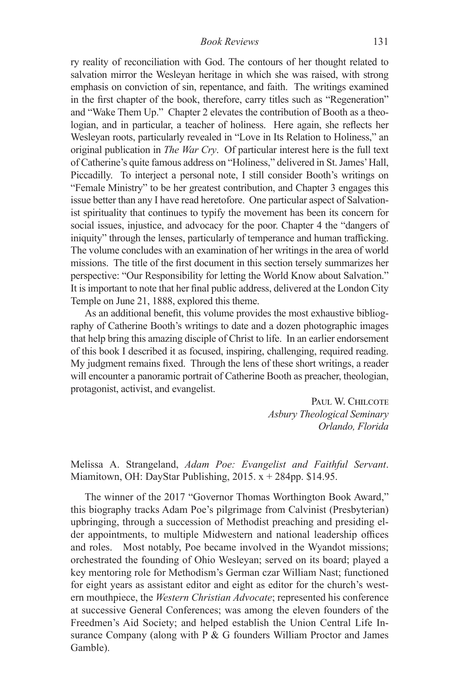ry reality of reconciliation with God. The contours of her thought related to salvation mirror the Wesleyan heritage in which she was raised, with strong emphasis on conviction of sin, repentance, and faith. The writings examined in the first chapter of the book, therefore, carry titles such as "Regeneration" and "Wake Them Up." Chapter 2 elevates the contribution of Booth as a theologian, and in particular, a teacher of holiness. Here again, she reflects her Wesleyan roots, particularly revealed in "Love in Its Relation to Holiness," an original publication in *The War Cry*. Of particular interest here is the full text of Catherine's quite famous address on "Holiness," delivered in St. James' Hall, Piccadilly. To interject a personal note, I still consider Booth's writings on "Female Ministry" to be her greatest contribution, and Chapter 3 engages this issue better than any I have read heretofore. One particular aspect of Salvationist spirituality that continues to typify the movement has been its concern for social issues, injustice, and advocacy for the poor. Chapter 4 the "dangers of iniquity" through the lenses, particularly of temperance and human trafficking. The volume concludes with an examination of her writings in the area of world missions. The title of the first document in this section tersely summarizes her perspective: "Our Responsibility for letting the World Know about Salvation." It is important to note that her final public address, delivered at the London City Temple on June 21, 1888, explored this theme.

As an additional benefit, this volume provides the most exhaustive bibliography of Catherine Booth's writings to date and a dozen photographic images that help bring this amazing disciple of Christ to life. In an earlier endorsement of this book I described it as focused, inspiring, challenging, required reading. My judgment remains fixed. Through the lens of these short writings, a reader will encounter a panoramic portrait of Catherine Booth as preacher, theologian, protagonist, activist, and evangelist.

> PAUL W. CHILCOTE *Asbury Theological Seminary Orlando, Florida*

Melissa A. Strangeland, *Adam Poe: Evangelist and Faithful Servant*. Miamitown, OH: DayStar Publishing, 2015. x + 284pp. \$14.95.

The winner of the 2017 "Governor Thomas Worthington Book Award," this biography tracks Adam Poe's pilgrimage from Calvinist (Presbyterian) upbringing, through a succession of Methodist preaching and presiding elder appointments, to multiple Midwestern and national leadership offices and roles. Most notably, Poe became involved in the Wyandot missions; orchestrated the founding of Ohio Wesleyan; served on its board; played a key mentoring role for Methodism's German czar William Nast; functioned for eight years as assistant editor and eight as editor for the church's western mouthpiece, the *Western Christian Advocate*; represented his conference at successive General Conferences; was among the eleven founders of the Freedmen's Aid Society; and helped establish the Union Central Life Insurance Company (along with P & G founders William Proctor and James Gamble).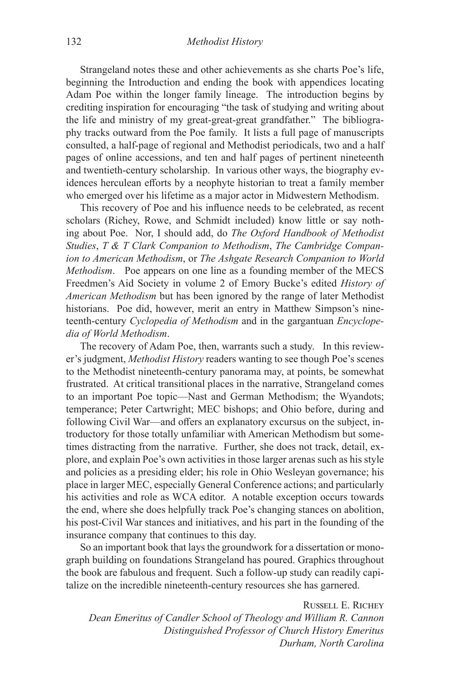Strangeland notes these and other achievements as she charts Poe's life, beginning the Introduction and ending the book with appendices locating Adam Poe within the longer family lineage. The introduction begins by crediting inspiration for encouraging "the task of studying and writing about the life and ministry of my great-great-great grandfather." The bibliography tracks outward from the Poe family. It lists a full page of manuscripts consulted, a half-page of regional and Methodist periodicals, two and a half pages of online accessions, and ten and half pages of pertinent nineteenth and twentieth-century scholarship. In various other ways, the biography evidences herculean efforts by a neophyte historian to treat a family member who emerged over his lifetime as a major actor in Midwestern Methodism.

This recovery of Poe and his influence needs to be celebrated, as recent scholars (Richey, Rowe, and Schmidt included) know little or say nothing about Poe. Nor, I should add, do *The Oxford Handbook of Methodist Studies*, *T & T Clark Companion to Methodism*, *The Cambridge Companion to American Methodism*, or *The Ashgate Research Companion to World Methodism*. Poe appears on one line as a founding member of the MECS Freedmen's Aid Society in volume 2 of Emory Bucke's edited *History of American Methodism* but has been ignored by the range of later Methodist historians. Poe did, however, merit an entry in Matthew Simpson's nineteenth-century *Cyclopedia of Methodism* and in the gargantuan *Encyclopedia of World Methodism*.

The recovery of Adam Poe, then, warrants such a study. In this reviewer's judgment, *Methodist History* readers wanting to see though Poe's scenes to the Methodist nineteenth-century panorama may, at points, be somewhat frustrated. At critical transitional places in the narrative, Strangeland comes to an important Poe topic—Nast and German Methodism; the Wyandots; temperance; Peter Cartwright; MEC bishops; and Ohio before, during and following Civil War—and offers an explanatory excursus on the subject, introductory for those totally unfamiliar with American Methodism but sometimes distracting from the narrative. Further, she does not track, detail, explore, and explain Poe's own activities in those larger arenas such as his style and policies as a presiding elder; his role in Ohio Wesleyan governance; his place in larger MEC, especially General Conference actions; and particularly his activities and role as WCA editor. A notable exception occurs towards the end, where she does helpfully track Poe's changing stances on abolition, his post-Civil War stances and initiatives, and his part in the founding of the insurance company that continues to this day.

So an important book that lays the groundwork for a dissertation or monograph building on foundations Strangeland has poured. Graphics throughout the book are fabulous and frequent. Such a follow-up study can readily capitalize on the incredible nineteenth-century resources she has garnered.

Russell E. Richey *Dean Emeritus of Candler School of Theology and William R. Cannon Distinguished Professor of Church History Emeritus Durham, North Carolina*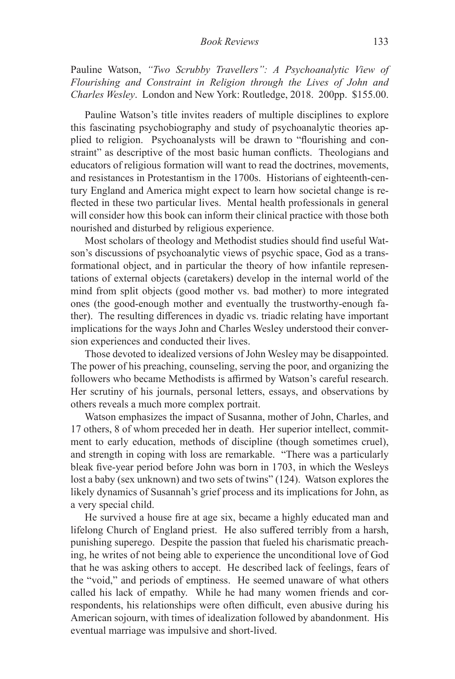Pauline Watson, *"Two Scrubby Travellers": A Psychoanalytic View of Flourishing and Constraint in Religion through the Lives of John and Charles Wesley*. London and New York: Routledge, 2018. 200pp. \$155.00.

Pauline Watson's title invites readers of multiple disciplines to explore this fascinating psychobiography and study of psychoanalytic theories applied to religion. Psychoanalysts will be drawn to "flourishing and constraint" as descriptive of the most basic human conflicts. Theologians and educators of religious formation will want to read the doctrines, movements, and resistances in Protestantism in the 1700s. Historians of eighteenth-century England and America might expect to learn how societal change is reflected in these two particular lives. Mental health professionals in general will consider how this book can inform their clinical practice with those both nourished and disturbed by religious experience.

Most scholars of theology and Methodist studies should find useful Watson's discussions of psychoanalytic views of psychic space, God as a transformational object, and in particular the theory of how infantile representations of external objects (caretakers) develop in the internal world of the mind from split objects (good mother vs. bad mother) to more integrated ones (the good-enough mother and eventually the trustworthy-enough father). The resulting differences in dyadic vs. triadic relating have important implications for the ways John and Charles Wesley understood their conversion experiences and conducted their lives.

Those devoted to idealized versions of John Wesley may be disappointed. The power of his preaching, counseling, serving the poor, and organizing the followers who became Methodists is affirmed by Watson's careful research. Her scrutiny of his journals, personal letters, essays, and observations by others reveals a much more complex portrait.

Watson emphasizes the impact of Susanna, mother of John, Charles, and 17 others, 8 of whom preceded her in death. Her superior intellect, commitment to early education, methods of discipline (though sometimes cruel), and strength in coping with loss are remarkable. "There was a particularly bleak five-year period before John was born in 1703, in which the Wesleys lost a baby (sex unknown) and two sets of twins" (124). Watson explores the likely dynamics of Susannah's grief process and its implications for John, as a very special child.

He survived a house fire at age six, became a highly educated man and lifelong Church of England priest. He also suffered terribly from a harsh, punishing superego. Despite the passion that fueled his charismatic preaching, he writes of not being able to experience the unconditional love of God that he was asking others to accept. He described lack of feelings, fears of the "void," and periods of emptiness. He seemed unaware of what others called his lack of empathy. While he had many women friends and correspondents, his relationships were often difficult, even abusive during his American sojourn, with times of idealization followed by abandonment. His eventual marriage was impulsive and short-lived.